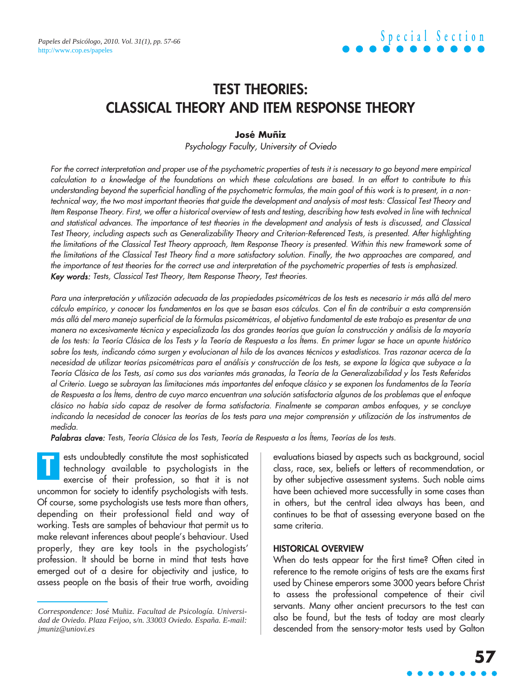### **TEST THEORIES: CLASSICAL THEORY AND ITEM RESPONSE THEORY**

#### **José Muñiz**

Psychology Faculty, University of Oviedo

For the correct interpretation and proper use of the psychometric properties of tests it is necessary to go beyond mere empirical calculation to a knowledge of the foundations on which these calculations are based. In an effort to contribute to this understanding beyond the superficial handling of the psychometric formulas, the main goal of this work is to present, in a nontechnical way, the two most important theories that guide the development and analysis of most tests: Classical Test Theory and Item Response Theory. First, we offer a historical overview of tests and testing, describing how tests evolved in line with technical and statistical advances. The importance of test theories in the development and analysis of tests is discussed, and Classical Test Theory, including aspects such as Generalizability Theory and Criterion-Referenced Tests, is presented. After highlighting the limitations of the Classical Test Theory approach, Item Response Theory is presented. Within this new framework some of the limitations of the Classical Test Theory find a more satisfactory solution. Finally, the two approaches are compared, and the importance of test theories for the correct use and interpretation of the psychometric properties of tests is emphasized. Key words: Tests, Classical Test Theory, Item Response Theory, Test theories.

Para una interpretación y utilización adecuada de las propiedades psicométricas de los tests es necesario ir más allá del mero cálculo empírico, y conocer los fundamentos en los que se basan esos cálculos. Con el fin de contribuir a esta comprensión más allá del mero manejo superficial de la fórmulas psicométricas, el objetivo fundamental de este trabajo es presentar de una manera no excesivamente técnica y especializada las dos grandes teorías que guían la construcción y análisis de la mayoría de los tests: la Teoría Clásica de los Tests y la Teoría de Respuesta a los Ítems. En primer lugar se hace un apunte histórico sobre los tests, indicando cómo surgen y evolucionan al hilo de los avances técnicos y estadísticos. Tras razonar acerca de la necesidad de utilizar teorías psicométricas para el análisis y construcción de los tests, se expone la lógica que subyace a la Teoría Clásica de los Tests, así como sus dos variantes más granadas, la Teoría de la Generalizabilidad y los Tests Referidos al Criterio. Luego se subrayan las limitaciones más importantes del enfoque clásico y se exponen los fundamentos de la Teoría de Respuesta a los Ítems, dentro de cuyo marco encuentran una solución satisfactoria algunos de los problemas que el enfoque clásico no había sido capaz de resolver de forma satisfactoria. Finalmente se comparan ambos enfoques, y se concluye indicando la necesidad de conocer las teorías de los tests para una mejor comprensión y utilización de los instrumentos de medida.

Palabras clave: Tests, Teoría Clásica de los Tests, Teoría de Respuesta a los Ítems, Teorías de los tests.

ests undoubtedly constitute the most sophisticated technology available to psychologists in the exercise of their profession, so that it is not uncommon for society to identify psychologists with tests. Of course, some psychologists use tests more than others, depending on their professional field and way of working. Tests are samples of behaviour that permit us to make relevant inferences about people's behaviour. Used properly, they are key tools in the psychologists' profession. It should be borne in mind that tests have emerged out of a desire for objectivity and justice, to assess people on the basis of their true worth, avoiding **T**

evaluations biased by aspects such as background, social class, race, sex, beliefs or letters of recommendation, or by other subjective assessment systems. Such noble aims have been achieved more successfully in some cases than in others, but the central idea always has been, and continues to be that of assessing everyone based on the same criteria.

#### **HISTORICAL OVERVIEW**

When do tests appear for the first time? Often cited in reference to the remote origins of tests are the exams first used by Chinese emperors some 3000 years before Christ to assess the professional competence of their civil servants. Many other ancient precursors to the test can also be found, but the tests of today are most clearly descended from the sensory-motor tests used by Galton

*Correspondence:* José Muñiz. *Facultad de Psicología. Universidad de Oviedo. Plaza Feijoo, s/n. 33003 Oviedo. España. E-mail: jmuniz@uniovi.es*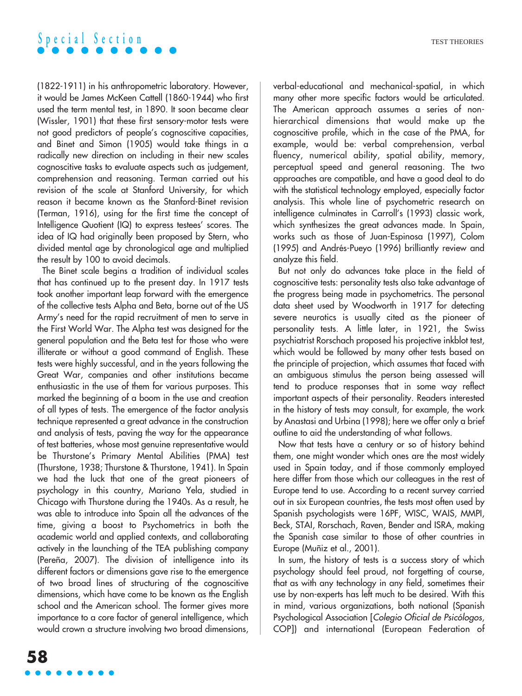

(1822-1911) in his anthropometric laboratory. However, it would be James McKeen Cattell (1860-1944) who first used the term mental test, in 1890. It soon became clear (Wissler, 1901) that these first sensory-motor tests were not good predictors of people's cognoscitive capacities, and Binet and Simon (1905) would take things in a radically new direction on including in their new scales cognoscitive tasks to evaluate aspects such as judgement, comprehension and reasoning. Terman carried out his revision of the scale at Stanford University, for which reason it became known as the Stanford-Binet revision (Terman, 1916), using for the first time the concept of Intelligence Quotient (IQ) to express testees' scores. The idea of IQ had originally been proposed by Stern, who divided mental age by chronological age and multiplied the result by 100 to avoid decimals.

The Binet scale begins a tradition of individual scales that has continued up to the present day. In 1917 tests took another important leap forward with the emergence of the collective tests Alpha and Beta, borne out of the US Army's need for the rapid recruitment of men to serve in the First World War. The Alpha test was designed for the general population and the Beta test for those who were illiterate or without a good command of English. These tests were highly successful, and in the years following the Great War, companies and other institutions became enthusiastic in the use of them for various purposes. This marked the beginning of a boom in the use and creation of all types of tests. The emergence of the factor analysis technique represented a great advance in the construction and analysis of tests, paving the way for the appearance of test batteries, whose most genuine representative would be Thurstone's Primary Mental Abilities (PMA) test (Thurstone, 1938; Thurstone & Thurstone, 1941). In Spain we had the luck that one of the great pioneers of psychology in this country, Mariano Yela, studied in Chicago with Thurstone during the 1940s. As a result, he was able to introduce into Spain all the advances of the time, giving a boost to Psychometrics in both the academic world and applied contexts, and collaborating actively in the launching of the TEA publishing company (Pereña, 2007). The division of intelligence into its different factors or dimensions gave rise to the emergence of two broad lines of structuring of the cognoscitive dimensions, which have come to be known as the English school and the American school. The former gives more importance to a core factor of general intelligence, which would crown a structure involving two broad dimensions, verbal-educational and mechanical-spatial, in which many other more specific factors would be articulated. The American approach assumes a series of nonhierarchical dimensions that would make up the cognoscitive profile, which in the case of the PMA, for example, would be: verbal comprehension, verbal fluency, numerical ability, spatial ability, memory, perceptual speed and general reasoning. The two approaches are compatible, and have a good deal to do with the statistical technology employed, especially factor analysis. This whole line of psychometric research on intelligence culminates in Carroll's (1993) classic work, which synthesizes the great advances made. In Spain, works such as those of Juan-Espinosa (1997), Colom (1995) and Andrés-Pueyo (1996) brilliantly review and analyze this field.

But not only do advances take place in the field of cognoscitive tests: personality tests also take advantage of the progress being made in psychometrics. The personal data sheet used by Woodworth in 1917 for detecting severe neurotics is usually cited as the pioneer of personality tests. A little later, in 1921, the Swiss psychiatrist Rorschach proposed his projective inkblot test, which would be followed by many other tests based on the principle of projection, which assumes that faced with an ambiguous stimulus the person being assessed will tend to produce responses that in some way reflect important aspects of their personality. Readers interested in the history of tests may consult, for example, the work by Anastasi and Urbina (1998); here we offer only a brief outline to aid the understanding of what follows.

Now that tests have a century or so of history behind them, one might wonder which ones are the most widely used in Spain today, and if those commonly employed here differ from those which our colleagues in the rest of Europe tend to use. According to a recent survey carried out in six European countries, the tests most often used by Spanish psychologists were 16PF, WISC, WAIS, MMPI, Beck, STAI, Rorschach, Raven, Bender and ISRA, making the Spanish case similar to those of other countries in Europe (Muñiz et al., 2001).

In sum, the history of tests is a success story of which psychology should feel proud, not forgetting of course, that as with any technology in any field, sometimes their use by non-experts has left much to be desired. With this in mind, various organizations, both national (Spanish Psychological Association [Colegio Oficial de Psicólogos, COP]) and international (European Federation of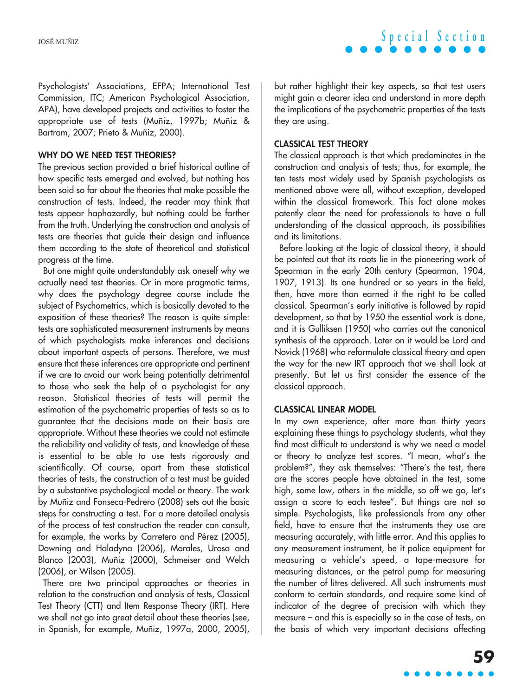Psychologists' Associations, EFPA; International Test Commission, ITC; American Psychological Association, APA), have developed projects and activities to foster the appropriate use of tests (Muñiz, 1997b; Muñiz & Bartram, 2007; Prieto & Muñiz, 2000).

#### **WHY DO WE NEED TEST THEORIES?**

The previous section provided a brief historical outline of how specific tests emerged and evolved, but nothing has been said so far about the theories that make possible the construction of tests. Indeed, the reader may think that tests appear haphazardly, but nothing could be farther from the truth. Underlying the construction and analysis of tests are theories that guide their design and influence them according to the state of theoretical and statistical progress at the time.

But one might quite understandably ask oneself why we actually need test theories. Or in more pragmatic terms, why does the psychology degree course include the subject of Psychometrics, which is basically devoted to the exposition of these theories? The reason is quite simple: tests are sophisticated measurement instruments by means of which psychologists make inferences and decisions about important aspects of persons. Therefore, we must ensure that these inferences are appropriate and pertinent if we are to avoid our work being potentially detrimental to those who seek the help of a psychologist for any reason. Statistical theories of tests will permit the estimation of the psychometric properties of tests so as to guarantee that the decisions made on their basis are appropriate. Without these theories we could not estimate the reliability and validity of tests, and knowledge of these is essential to be able to use tests rigorously and scientifically. Of course, apart from these statistical theories of tests, the construction of a test must be guided by a substantive psychological model or theory. The work by Muñiz and Fonseca-Pedrero (2008) sets out the basic steps for constructing a test. For a more detailed analysis of the process of test construction the reader can consult, for example, the works by Carretero and Pérez (2005), Downing and Haladyna (2006), Morales, Urosa and Blanco (2003), Muñiz (2000), Schmeiser and Welch (2006), or Wilson (2005).

There are two principal approaches or theories in relation to the construction and analysis of tests, Classical Test Theory (CTT) and Item Response Theory (IRT). Here we shall not go into great detail about these theories (see, in Spanish, for example, Muñiz, 1997a, 2000, 2005), but rather highlight their key aspects, so that test users might gain a clearer idea and understand in more depth the implications of the psychometric properties of the tests they are using.

#### **CLASSICAL TEST THEORY**

The classical approach is that which predominates in the construction and analysis of tests; thus, for example, the ten tests most widely used by Spanish psychologists as mentioned above were all, without exception, developed within the classical framework. This fact alone makes patently clear the need for professionals to have a full understanding of the classical approach, its possibilities and its limitations.

Before looking at the logic of classical theory, it should be pointed out that its roots lie in the pioneering work of Spearman in the early 20th century (Spearman, 1904, 1907, 1913). Its one hundred or so years in the field, then, have more than earned it the right to be called classical. Spearman's early initiative is followed by rapid development, so that by 1950 the essential work is done, and it is Gulliksen (1950) who carries out the canonical synthesis of the approach. Later on it would be Lord and Novick (1968) who reformulate classical theory and open the way for the new IRT approach that we shall look at presently. But let us first consider the essence of the classical approach.

#### **CLASSICAL LINEAR MODEL**

In my own experience, after more than thirty years explaining these things to psychology students, what they find most difficult to understand is why we need a model or theory to analyze test scores. "I mean, what's the problem?", they ask themselves: "There's the test, there are the scores people have obtained in the test, some high, some low, others in the middle, so off we go, let's assign a score to each testee". But things are not so simple. Psychologists, like professionals from any other field, have to ensure that the instruments they use are measuring accurately, with little error. And this applies to any measurement instrument, be it police equipment for measuring a vehicle's speed, a tape-measure for measuring distances, or the petrol pump for measuring the number of litres delivered. All such instruments must conform to certain standards, and require some kind of indicator of the degree of precision with which they measure – and this is especially so in the case of tests, on the basis of which very important decisions affecting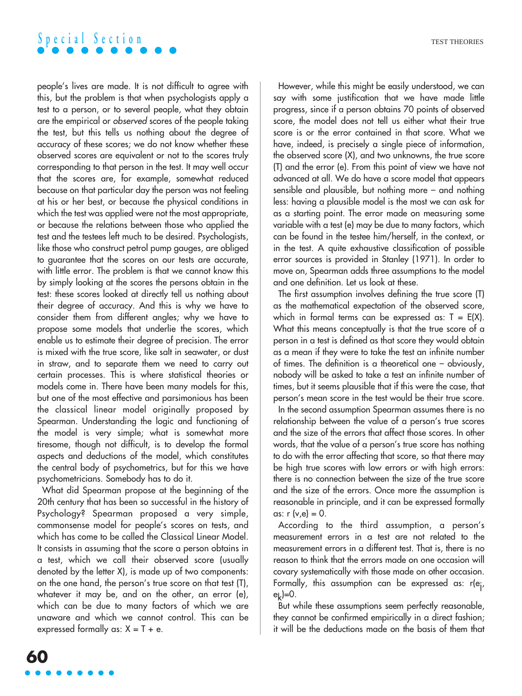### **Special Section**

people's lives are made. It is not difficult to agree with this, but the problem is that when psychologists apply a test to a person, or to several people, what they obtain are the empirical or observed scores of the people taking the test, but this tells us nothing about the degree of accuracy of these scores; we do not know whether these observed scores are equivalent or not to the scores truly corresponding to that person in the test. It may well occur that the scores are, for example, somewhat reduced because on that particular day the person was not feeling at his or her best, or because the physical conditions in which the test was applied were not the most appropriate, or because the relations between those who applied the test and the testees left much to be desired. Psychologists, like those who construct petrol pump gauges, are obliged to guarantee that the scores on our tests are accurate, with little error. The problem is that we cannot know this by simply looking at the scores the persons obtain in the test: these scores looked at directly tell us nothing about their degree of accuracy. And this is why we have to consider them from different angles; why we have to propose some models that underlie the scores, which enable us to estimate their degree of precision. The error is mixed with the true score, like salt in seawater, or dust in straw, and to separate them we need to carry out certain processes. This is where statistical theories or models come in. There have been many models for this, but one of the most effective and parsimonious has been the classical linear model originally proposed by Spearman. Understanding the logic and functioning of the model is very simple; what is somewhat more tiresome, though not difficult, is to develop the formal aspects and deductions of the model, which constitutes the central body of psychometrics, but for this we have psychometricians. Somebody has to do it.

What did Spearman propose at the beginning of the 20th century that has been so successful in the history of Psychology? Spearman proposed a very simple, commonsense model for people's scores on tests, and which has come to be called the Classical Linear Model. It consists in assuming that the score a person obtains in a test, which we call their observed score (usually denoted by the letter X), is made up of two components: on the one hand, the person's true score on that test (T), whatever it may be, and on the other, an error (e), which can be due to many factors of which we are unaware and which we cannot control. This can be expressed formally as:  $X = T + e$ .

However, while this might be easily understood, we can say with some justification that we have made little progress, since if a person obtains 70 points of observed score, the model does not tell us either what their true score is or the error contained in that score. What we have, indeed, is precisely a single piece of information, the observed score (X), and two unknowns, the true score (T) and the error (e). From this point of view we have not advanced at all. We do have a score model that appears sensible and plausible, but nothing more – and nothing less: having a plausible model is the most we can ask for as a starting point. The error made on measuring some variable with a test (e) may be due to many factors, which can be found in the testee him/herself, in the context, or in the test. A quite exhaustive classification of possible error sources is provided in Stanley (1971). In order to move on, Spearman adds three assumptions to the model and one definition. Let us look at these.

The first assumption involves defining the true score (T) as the mathematical expectation of the observed score, which in formal terms can be expressed as:  $T = E(X)$ . What this means conceptually is that the true score of a person in a test is defined as that score they would obtain as a mean if they were to take the test an infinite number of times. The definition is a theoretical one – obviously, nobody will be asked to take a test an infinite number of times, but it seems plausible that if this were the case, that person's mean score in the test would be their true score.

In the second assumption Spearman assumes there is no relationship between the value of a person's true scores and the size of the errors that affect those scores. In other words, that the value of a person's true score has nothing to do with the error affecting that score, so that there may be high true scores with low errors or with high errors: there is no connection between the size of the true score and the size of the errors. Once more the assumption is reasonable in principle, and it can be expressed formally as:  $r (v,e) = 0$ .

According to the third assumption, a person's measurement errors in a test are not related to the measurement errors in a different test. That is, there is no reason to think that the errors made on one occasion will covary systematically with those made on other occasion. Formally, this assumption can be expressed as: r(ej ,  $e_k$  $=$ 0.

But while these assumptions seem perfectly reasonable, they cannot be confirmed empirically in a direct fashion; it will be the deductions made on the basis of them that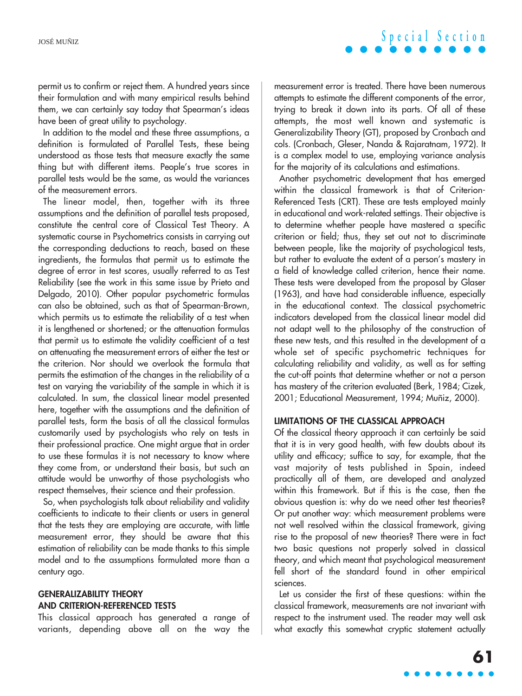

permit us to confirm or reject them. A hundred years since their formulation and with many empirical results behind them, we can certainly say today that Spearman's ideas have been of great utility to psychology.

In addition to the model and these three assumptions, a definition is formulated of Parallel Tests, these being understood as those tests that measure exactly the same thing but with different items. People's true scores in parallel tests would be the same, as would the variances of the measurement errors.

The linear model, then, together with its three assumptions and the definition of parallel tests proposed, constitute the central core of Classical Test Theory. A systematic course in Psychometrics consists in carrying out the corresponding deductions to reach, based on these ingredients, the formulas that permit us to estimate the degree of error in test scores, usually referred to as Test Reliability (see the work in this same issue by Prieto and Delgado, 2010). Other popular psychometric formulas can also be obtained, such as that of Spearman-Brown, which permits us to estimate the reliability of a test when it is lengthened or shortened; or the attenuation formulas that permit us to estimate the validity coefficient of a test on attenuating the measurement errors of either the test or the criterion. Nor should we overlook the formula that permits the estimation of the changes in the reliability of a test on varying the variability of the sample in which it is calculated. In sum, the classical linear model presented here, together with the assumptions and the definition of parallel tests, form the basis of all the classical formulas customarily used by psychologists who rely on tests in their professional practice. One might argue that in order to use these formulas it is not necessary to know where they come from, or understand their basis, but such an attitude would be unworthy of those psychologists who respect themselves, their science and their profession.

So, when psychologists talk about reliability and validity coefficients to indicate to their clients or users in general that the tests they are employing are accurate, with little measurement error, they should be aware that this estimation of reliability can be made thanks to this simple model and to the assumptions formulated more than a century ago.

#### **GENERALIZABILITY THEORY AND CRITERION-REFERENCED TESTS**

This classical approach has generated a range of variants, depending above all on the way the

measurement error is treated. There have been numerous attempts to estimate the different components of the error, trying to break it down into its parts. Of all of these attempts, the most well known and systematic is Generalizability Theory (GT), proposed by Cronbach and cols. (Cronbach, Gleser, Nanda & Rajaratnam, 1972). It is a complex model to use, employing variance analysis for the majority of its calculations and estimations.

Another psychometric development that has emerged within the classical framework is that of Criterion-Referenced Tests (CRT). These are tests employed mainly in educational and work-related settings. Their objective is to determine whether people have mastered a specific criterion or field; thus, they set out not to discriminate between people, like the majority of psychological tests, but rather to evaluate the extent of a person's mastery in a field of knowledge called criterion, hence their name. These tests were developed from the proposal by Glaser (1963), and have had considerable influence, especially in the educational context. The classical psychometric indicators developed from the classical linear model did not adapt well to the philosophy of the construction of these new tests, and this resulted in the development of a whole set of specific psychometric techniques for calculating reliability and validity, as well as for setting the cut-off points that determine whether or not a person has mastery of the criterion evaluated (Berk, 1984; Cizek, 2001; Educational Measurement, 1994; Muñiz, 2000).

#### **LIMITATIONS OF THE CLASSICAL APPROACH**

Of the classical theory approach it can certainly be said that it is in very good health, with few doubts about its utility and efficacy; suffice to say, for example, that the vast majority of tests published in Spain, indeed practically all of them, are developed and analyzed within this framework. But if this is the case, then the obvious question is: why do we need other test theories? Or put another way: which measurement problems were not well resolved within the classical framework, giving rise to the proposal of new theories? There were in fact two basic questions not properly solved in classical theory, and which meant that psychological measurement fell short of the standard found in other empirical sciences.

Let us consider the first of these questions: within the classical framework, measurements are not invariant with respect to the instrument used. The reader may well ask what exactly this somewhat cryptic statement actually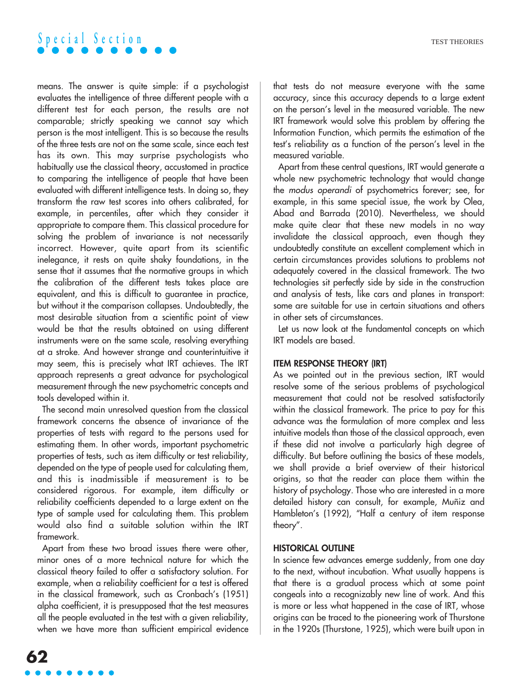

means. The answer is quite simple: if a psychologist evaluates the intelligence of three different people with a different test for each person, the results are not comparable; strictly speaking we cannot say which person is the most intelligent. This is so because the results of the three tests are not on the same scale, since each test has its own. This may surprise psychologists who habitually use the classical theory, accustomed in practice to comparing the intelligence of people that have been evaluated with different intelligence tests. In doing so, they transform the raw test scores into others calibrated, for example, in percentiles, after which they consider it appropriate to compare them. This classical procedure for solving the problem of invariance is not necessarily incorrect. However, quite apart from its scientific inelegance, it rests on quite shaky foundations, in the sense that it assumes that the normative groups in which the calibration of the different tests takes place are equivalent, and this is difficult to guarantee in practice, but without it the comparison collapses. Undoubtedly, the most desirable situation from a scientific point of view would be that the results obtained on using different instruments were on the same scale, resolving everything at a stroke. And however strange and counterintuitive it may seem, this is precisely what IRT achieves. The IRT approach represents a great advance for psychological measurement through the new psychometric concepts and tools developed within it.

The second main unresolved question from the classical framework concerns the absence of invariance of the properties of tests with regard to the persons used for estimating them. In other words, important psychometric properties of tests, such as item difficulty or test reliability, depended on the type of people used for calculating them, and this is inadmissible if measurement is to be considered rigorous. For example, item difficulty or reliability coefficients depended to a large extent on the type of sample used for calculating them. This problem would also find a suitable solution within the IRT framework.

Apart from these two broad issues there were other, minor ones of a more technical nature for which the classical theory failed to offer a satisfactory solution. For example, when a reliability coefficient for a test is offered in the classical framework, such as Cronbach's (1951) alpha coefficient, it is presupposed that the test measures all the people evaluated in the test with a given reliability, when we have more than sufficient empirical evidence that tests do not measure everyone with the same accuracy, since this accuracy depends to a large extent on the person's level in the measured variable. The new IRT framework would solve this problem by offering the Information Function, which permits the estimation of the test's reliability as a function of the person's level in the measured variable.

Apart from these central questions, IRT would generate a whole new psychometric technology that would change the modus operandi of psychometrics forever; see, for example, in this same special issue, the work by Olea, Abad and Barrada (2010). Nevertheless, we should make quite clear that these new models in no way invalidate the classical approach, even though they undoubtedly constitute an excellent complement which in certain circumstances provides solutions to problems not adequately covered in the classical framework. The two technologies sit perfectly side by side in the construction and analysis of tests, like cars and planes in transport: some are suitable for use in certain situations and others in other sets of circumstances.

Let us now look at the fundamental concepts on which IRT models are based.

#### **ITEM RESPONSE THEORY (IRT)**

As we pointed out in the previous section, IRT would resolve some of the serious problems of psychological measurement that could not be resolved satisfactorily within the classical framework. The price to pay for this advance was the formulation of more complex and less intuitive models than those of the classical approach, even if these did not involve a particularly high degree of difficulty. But before outlining the basics of these models, we shall provide a brief overview of their historical origins, so that the reader can place them within the history of psychology. Those who are interested in a more detailed history can consult, for example, Muñiz and Hambleton's (1992), "Half a century of item response theory".

#### **HISTORICAL OUTLINE**

In science few advances emerge suddenly, from one day to the next, without incubation. What usually happens is that there is a gradual process which at some point congeals into a recognizably new line of work. And this is more or less what happened in the case of IRT, whose origins can be traced to the pioneering work of Thurstone in the 1920s (Thurstone, 1925), which were built upon in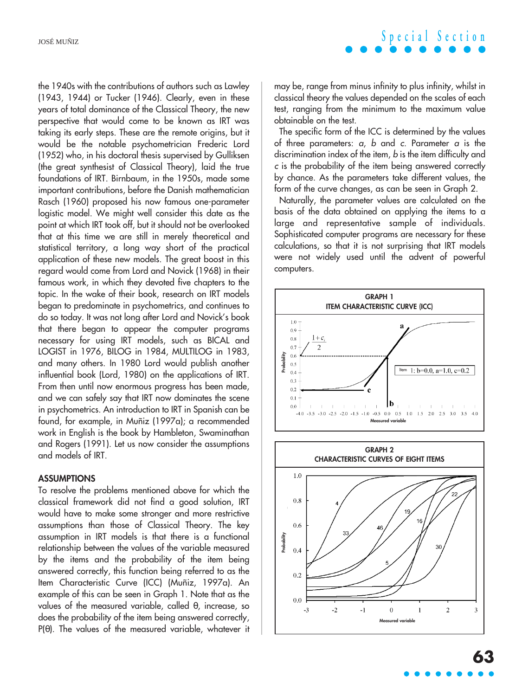the 1940s with the contributions of authors such as Lawley (1943, 1944) or Tucker (1946). Clearly, even in these years of total dominance of the Classical Theory, the new perspective that would come to be known as IRT was taking its early steps. These are the remote origins, but it would be the notable psychometrician Frederic Lord (1952) who, in his doctoral thesis supervised by Gulliksen (the great synthesist of Classical Theory), laid the true foundations of IRT. Birnbaum, in the 1950s, made some important contributions, before the Danish mathematician Rasch (1960) proposed his now famous one-parameter logistic model. We might well consider this date as the point at which IRT took off, but it should not be overlooked that at this time we are still in merely theoretical and statistical territory, a long way short of the practical application of these new models. The great boost in this regard would come from Lord and Novick (1968) in their famous work, in which they devoted five chapters to the topic. In the wake of their book, research on IRT models began to predominate in psychometrics, and continues to do so today. It was not long after Lord and Novick's book that there began to appear the computer programs necessary for using IRT models, such as BICAL and LOGIST in 1976, BILOG in 1984, MULTILOG in 1983, and many others. In 1980 Lord would publish another influential book (Lord, 1980) on the applications of IRT. From then until now enormous progress has been made, and we can safely say that IRT now dominates the scene in psychometrics. An introduction to IRT in Spanish can be found, for example, in Muñiz (1997a); a recommended work in English is the book by Hambleton, Swaminathan and Rogers (1991). Let us now consider the assumptions and models of IRT.

#### **ASSUMPTIONS**

To resolve the problems mentioned above for which the classical framework did not find a good solution, IRT would have to make some stronger and more restrictive assumptions than those of Classical Theory. The key assumption in IRT models is that there is a functional relationship between the values of the variable measured by the items and the probability of the item being answered correctly, this function being referred to as the Item Characteristic Curve (ICC) (Muñiz, 1997a). An example of this can be seen in Graph 1. Note that as the values of the measured variable, called θ, increase, so does the probability of the item being answered correctly, P(θ). The values of the measured variable, whatever it

# **Special Section**

may be, range from minus infinity to plus infinity, whilst in classical theory the values depended on the scales of each test, ranging from the minimum to the maximum value obtainable on the test.

The specific form of the ICC is determined by the values of three parameters:  $a, b$  and c. Parameter  $a$  is the discrimination index of the item, b is the item difficulty and <sup>c</sup> is the probability of the item being answered correctly by chance. As the parameters take different values, the form of the curve changes, as can be seen in Graph 2.

Naturally, the parameter values are calculated on the basis of the data obtained on applying the items to a large and representative sample of individuals. Sophisticated computer programs are necessary for these calculations, so that it is not surprising that IRT models were not widely used until the advent of powerful computers.



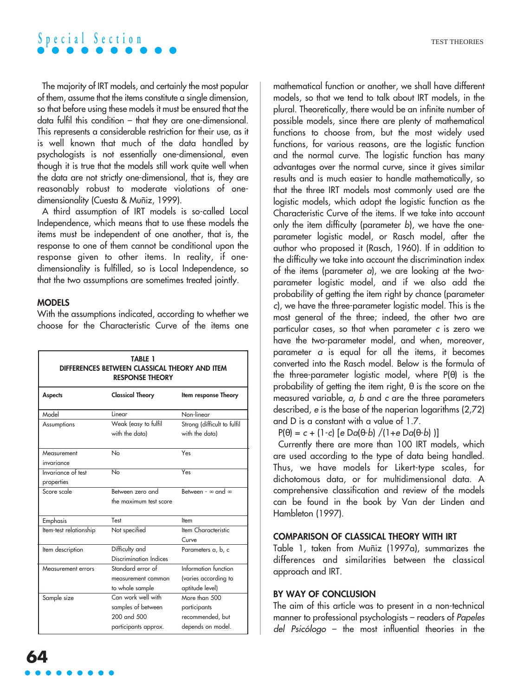

The majority of IRT models, and certainly the most popular of them, assume that the items constitute a single dimension, so that before using these models it must be ensured that the data fulfil this condition – that they are one-dimensional. This represents a considerable restriction for their use, as it is well known that much of the data handled by psychologists is not essentially one-dimensional, even though it is true that the models still work quite well when the data are not strictly one-dimensional, that is, they are reasonably robust to moderate violations of onedimensionality (Cuesta & Muñiz, 1999).

A third assumption of IRT models is so-called Local Independence, which means that to use these models the items must be independent of one another, that is, the response to one of them cannot be conditional upon the response given to other items. In reality, if onedimensionality is fulfilled, so is Local Independence, so that the two assumptions are sometimes treated jointly.

#### **MODELS**

With the assumptions indicated, according to whether we choose for the Characteristic Curve of the items one

| <b>TABLE 1</b><br>DIFFERENCES BETWEEN CLASSICAL THEORY AND ITEM<br><b>RESPONSE THEORY</b> |                                                                                 |                                                                        |
|-------------------------------------------------------------------------------------------|---------------------------------------------------------------------------------|------------------------------------------------------------------------|
| <b>Aspects</b>                                                                            | <b>Classical Theory</b>                                                         | Item response Theory                                                   |
| Model                                                                                     | Linear                                                                          | Non-linear                                                             |
| Assumptions                                                                               | Weak (easy to fulfil<br>with the data)                                          | Strong (difficult to fulfil<br>with the data)                          |
| Measurement<br>invariance                                                                 | No                                                                              | Yes                                                                    |
| Invariance of test<br>properties                                                          | No                                                                              | Yes                                                                    |
| Score scale                                                                               | Between zero and<br>the maximum test score                                      | Between - $\infty$ and $\infty$                                        |
| Emphasis                                                                                  | Test                                                                            | Item                                                                   |
| Item-test relationship                                                                    | Not specified                                                                   | Item Characteristic<br>Curve                                           |
| Item description                                                                          | Difficulty and<br>Discrimination Indices                                        | Parameters a, b, c                                                     |
| Measurement errors                                                                        | Standard error of<br>measurement common<br>to whole sample                      | Information function<br>(varies according to<br>aptitude level)        |
| Sample size                                                                               | Can work well with<br>samples of between<br>200 and 500<br>participants approx. | More than 500<br>participants<br>recommended, but<br>depends on model. |

mathematical function or another, we shall have different models, so that we tend to talk about IRT models, in the plural. Theoretically, there would be an infinite number of possible models, since there are plenty of mathematical functions to choose from, but the most widely used functions, for various reasons, are the logistic function and the normal curve. The logistic function has many advantages over the normal curve, since it gives similar results and is much easier to handle mathematically, so that the three IRT models most commonly used are the logistic models, which adopt the logistic function as the Characteristic Curve of the items. If we take into account only the item difficulty (parameter b), we have the oneparameter logistic model, or Rasch model, after the author who proposed it (Rasch, 1960). If in addition to the difficulty we take into account the discrimination index of the items (parameter <sup>a</sup>), we are looking at the twoparameter logistic model, and if we also add the probability of getting the item right by chance (parameter <sup>c</sup>), we have the three-parameter logistic model. This is the most general of the three; indeed, the other two are particular cases, so that when parameter <sup>c</sup> is zero we have the two-parameter model, and when, moreover, parameter  $\alpha$  is equal for all the items, it becomes converted into the Rasch model. Below is the formula of the three-parameter logistic model, where  $P(\theta)$  is the probability of getting the item right,  $\theta$  is the score on the measured variable, <sup>a</sup>, b and <sup>c</sup> are the three parameters described, e is the base of the naperian logarithms (2,72) and D is a constant with a value of 1.7.

 $P(\theta) = c + (1-c)$  [e Da(θ-b) /(1+e Da(θ-b))]

Currently there are more than 100 IRT models, which are used according to the type of data being handled. Thus, we have models for Likert-type scales, for dichotomous data, or for multidimensional data. A comprehensive classification and review of the models can be found in the book by Van der Linden and Hambleton (1997).

#### **COMPARISON OF CLASSICAL THEORY WITH IRT**

Table 1, taken from Muñiz (1997a), summarizes the differences and similarities between the classical approach and IRT.

#### **BY WAY OF CONCLUSION**

The aim of this article was to present in a non-technical manner to professional psychologists – readers of Papeles del Psicólogo – the most influential theories in the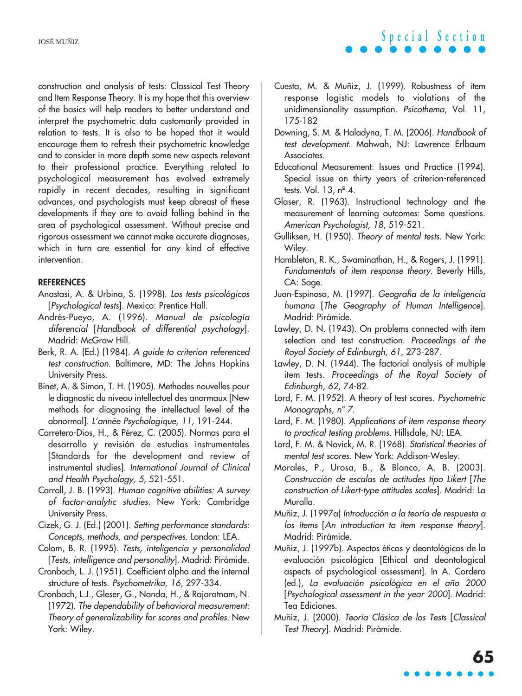construction and analysis of tests: Classical Test Theory and Item Response Theory. It is my hope that this overview of the basics will help readers to better understand and interpret the psychometric data customarily provided in relation to tests. It is also to be hoped that it would encourage them to refresh their psychometric knowledge and to consider in more depth some new aspects relevant to their professional practice. Everything related to psychological measurement has evolved extremely rapidly in recent decades, resulting in significant advances, and psychologists must keep abreast of these developments if they are to avoid falling behind in the area of psychological assessment. Without precise and rigorous assessment we cannot make accurate diagnoses, which in turn are essential for any kind of effective intervention.

#### **REFERENCES**

- Anastasi, A. & Urbina, S. (1998). Los tests psicológicos [Psychological tests]. Mexico: Prentice Hall.
- Andrés-Pueyo, A. (1996). Manual de psicología diferencial [Handbook of differential psychology]. Madrid: McGraw Hill.
- Berk, R. A. (Ed.) (1984). A guide to criterion referenced test construction. Baltimore, MD: The Johns Hopkins University Press.
- Binet, A. & Simon, T. H. (1905). Methodes nouvelles pour le diagnostic du niveau intellectuel des anormaux [New methods for diagnosing the intellectual level of the abnormal]. L'année Psychologique, 11, 191-244.
- Carretero-Dios, H., & Pérez, C. (2005). Normas para el desarrollo y revisión de estudios instrumentales [Standards for the development and review of instrumental studies]. International Journal of Clinical and Health Psychology, 5, 521-551.
- Carroll, J. B. (1993). Human cognitive abilities: A survey of factor-analytic studies. New York: Cambridge University Press.
- Cizek, G. J. (Ed.) (2001). Setting performance standards: Concepts, methods, and perspectives. London: LEA.
- Colom, B. R. (1995). Tests, inteligencia y personalidad [Tests, intelligence and personality]. Madrid: Pirámide.
- Cronbach, L. J. (1951). Coefficient alpha and the internal structure of tests. Psychometrika, 16, 297-334.
- Cronbach, L.J., Gleser, G., Nanda, H., & Rajaratnam, N. (1972). The dependability of behavioral measurement: Theory of generalizability for scores and profiles. New York: Wiley.

Cuesta, M. & Muñiz, J. (1999). Robustness of item response logistic models to violations of the unidimensionality assumption. Psicothema, Vol. 11, 175-182

**Special Section**

- Downing, S. M. & Haladyna, T. M. (2006). Handbook of test development. Mahwah, NJ: Lawrence Erlbaum Associates.
- Educational Measurement: Issues and Practice (1994). Special issue on thirty years of criterion-referenced tests. Vol. 13,  $n^{\circ}$  4.
- Glaser, R. (1963). Instructional technology and the measurement of learning outcomes: Some questions. American Psychologist, 18, 519-521.
- Gulliksen, H. (1950). Theory of mental tests. New York: Wiley.
- Hambleton, R. K., Swaminathan, H., & Rogers, J. (1991). Fundamentals of item response theory. Beverly Hills, CA: Sage.
- Juan-Espinosa, M. (1997). Geografía de la inteligencia humana [The Geography of Human Intelligence]. Madrid: Pirámide.
- Lawley, D. N. (1943). On problems connected with item selection and test construction. Proceedings of the Royal Society of Edinburgh, 61, 273-287.
- Lawley, D. N. (1944). The factorial analysis of multiple item tests. Proceedings of the Royal Society of Edinburgh, 62, 74-82.
- Lord, F. M. (1952). A theory of test scores. Psychometric Monographs,  $n^{\circ}$  7.
- Lord, F. M. (1980). Applications of item response theory to practical testing problems. Hillsdale, NJ: LEA.
- Lord, F. M. & Novick, M. R. (1968). Statistical theories of mental test scores. New York: Addison-Wesley.
- Morales, P., Urosa, B., & Blanco, A. B. (2003). Construcción de escalas de actitudes tipo Likert [The construction of Likert-type attitudes scales]. Madrid: La Muralla.
- Muñiz, J. (1997a) Introducción a la teoría de respuesta a los ítems [An introduction to item response theory]. Madrid: Pirámide.
- Muñiz, J. (1997b). Aspectos éticos y deontológicos de la evaluación psicológica [Ethical and deontological aspects of psychological assessment]. In A. Cordero (ed.), La evaluación psicológica en el año 2000 [Psychological assessment in the year 2000]. Madrid: Tea Ediciones.
- Muñiz, J. (2000). Teoría Clásica de los Tests [Classical Test Theory]. Madrid: Pirámide.